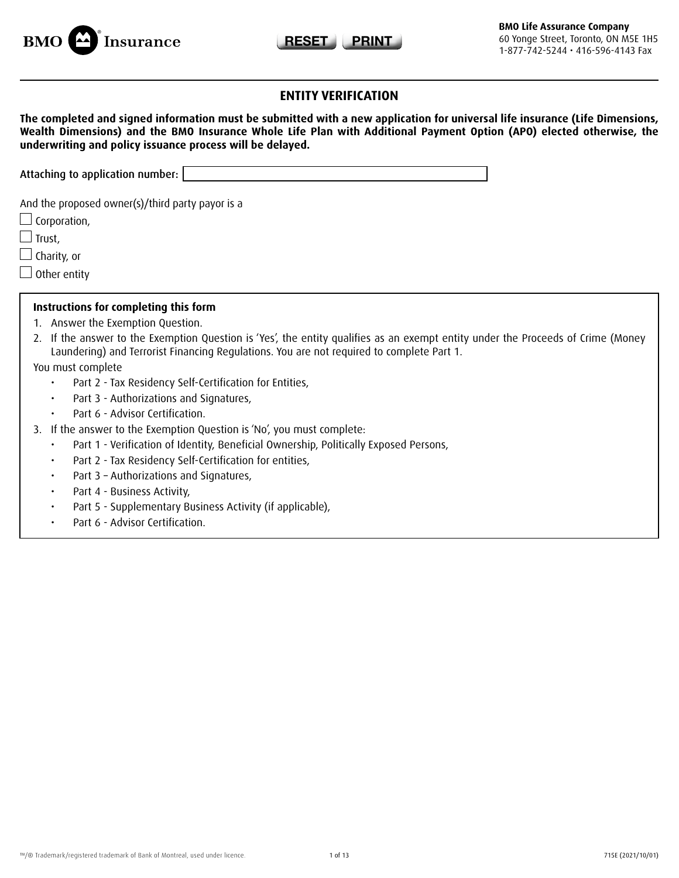



# **ENTITY VERIFICATION**

| The completed and signed information must be submitted with a new application for universal life insurance (Life Dimensions, |
|------------------------------------------------------------------------------------------------------------------------------|
| Wealth Dimensions) and the BMO Insurance Whole Life Plan with Additional Payment Option (APO) elected otherwise, the         |
| underwriting and policy issuance process will be delayed.                                                                    |

Attaching to application number:

And the proposed owner(s)/third party payor is a

 $\Box$  Corporation,

 $\Box$  Trust,

 $\Box$  Charity, or

 $\Box$  Other entity

#### **Instructions for completing this form**

- 1. Answer the Exemption Question.
- 2. If the answer to the Exemption Question is 'Yes', the entity qualifies as an exempt entity under the Proceeds of Crime (Money Laundering) and Terrorist Financing Regulations. You are not required to complete Part 1.

You must complete

- • Part 2 Tax Residency Self-Certification for Entities,
- • Part 3 Authorizations and Signatures,
- • Part 6 Advisor Certification.
- 3. If the answer to the Exemption Question is 'No', you must complete:
	- Part 1 Verification of Identity, Beneficial Ownership, Politically Exposed Persons,
	- • Part 2 Tax Residency Self-Certification for entities,
	- • Part 3 Authorizations and Signatures,
	- • Part 4 Business Activity,
	- Part 5 Supplementary Business Activity (if applicable),
	- Part 6 Advisor Certification.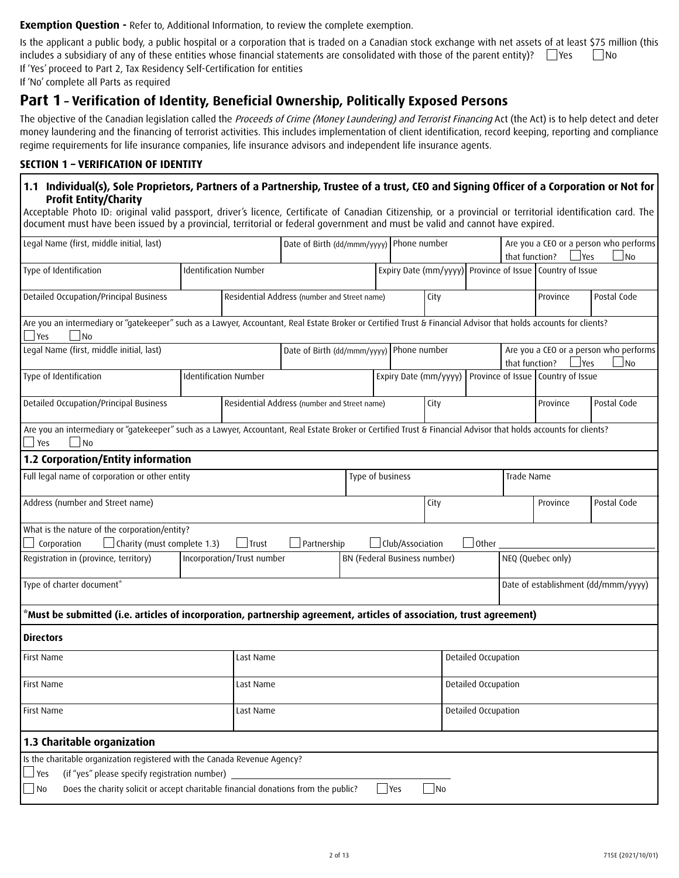**Exemption Question -** Refer to, Additional Information, to review the complete exemption.

Is the applicant a public body, a public hospital or a corporation that is traded on a Canadian stock exchange with net assets of at least \$75 million (this includes a subsidiary of any of these entities whose financial statements are consolidated with those of the parent entity)?  $\Box$ Yes  $\Box$ No If 'Yes' proceed to Part 2, Tax Residency Self-Certification for entities

If 'No' complete all Parts as required

# **Part 1 – Verification of Identity, Beneficial Ownership, Politically Exposed Persons**

The objective of the Canadian legislation called the Proceeds of Crime (Money Laundering) and Terrorist Financing Act (the Act) is to help detect and deter money laundering and the financing of terrorist activities. This includes implementation of client identification, record keeping, reporting and compliance regime requirements for life insurance companies, life insurance advisors and independent life insurance agents.

### **SECTION 1 – VERIFICATION OF IDENTITY**

### **1.1 Individual(s), Sole Proprietors, Partners of a Partnership, Trustee of a trust, CEO and Signing Officer of a Corporation or Not for Profit Entity/Charity**

Acceptable Photo ID: original valid passport, driver's licence, Certificate of Canadian Citizenship, or a provincial or territorial identification card. The document must have been issued by a provincial, territorial or federal government and must be valid and cannot have expired.

| Legal Name (first, middle initial, last)                                                                                                                                                                                               |  |                            | Date of Birth (dd/mmm/yyyy) Phone number     |  |                              |      |                     | that function? | $\mathsf{Yes}$                                             | Are you a CEO or a person who performs<br>$\overline{\mathsf{N}}$ |
|----------------------------------------------------------------------------------------------------------------------------------------------------------------------------------------------------------------------------------------|--|----------------------------|----------------------------------------------|--|------------------------------|------|---------------------|----------------|------------------------------------------------------------|-------------------------------------------------------------------|
| Type of Identification                                                                                                                                                                                                                 |  | Identification Number      |                                              |  |                              |      |                     |                | Expiry Date (mm/yyyy) Province of Issue   Country of Issue |                                                                   |
| Detailed Occupation/Principal Business                                                                                                                                                                                                 |  |                            | Residential Address (number and Street name) |  |                              | City |                     |                | Province                                                   | Postal Code                                                       |
| Are you an intermediary or "gatekeeper" such as a Lawyer, Accountant, Real Estate Broker or Certified Trust & Financial Advisor that holds accounts for clients?<br>$\Box$ Yes<br>$\blacksquare$ No                                    |  |                            |                                              |  |                              |      |                     |                |                                                            |                                                                   |
| Legal Name (first, middle initial, last)                                                                                                                                                                                               |  |                            | Date of Birth (dd/mmm/yyyy) Phone number     |  |                              |      |                     | that function? | $\blacksquare$ Yes                                         | Are you a CEO or a person who performs<br>$\Box$ No               |
| Type of Identification                                                                                                                                                                                                                 |  | Identification Number      |                                              |  | Expiry Date (mm/yyyy)        |      |                     |                | Province of Issue   Country of Issue                       |                                                                   |
| Detailed Occupation/Principal Business                                                                                                                                                                                                 |  |                            | Residential Address (number and Street name) |  |                              | City |                     |                | Province                                                   | Postal Code                                                       |
| Are you an intermediary or "gatekeeper" such as a Lawyer, Accountant, Real Estate Broker or Certified Trust & Financial Advisor that holds accounts for clients?<br>Yes<br>$\overline{\phantom{a}}$ No                                 |  |                            |                                              |  |                              |      |                     |                |                                                            |                                                                   |
| 1.2 Corporation/Entity information                                                                                                                                                                                                     |  |                            |                                              |  |                              |      |                     |                |                                                            |                                                                   |
| Full legal name of corporation or other entity                                                                                                                                                                                         |  |                            |                                              |  | Type of business             |      |                     | Trade Name     |                                                            |                                                                   |
| Address (number and Street name)                                                                                                                                                                                                       |  |                            |                                              |  |                              | City |                     |                | Province                                                   | Postal Code                                                       |
| What is the nature of the corporation/entity?                                                                                                                                                                                          |  |                            |                                              |  |                              |      |                     |                |                                                            |                                                                   |
| $\Box$ Charity (must complete 1.3)<br>Corporation                                                                                                                                                                                      |  | $\Box$ Trust               | Partnership                                  |  | Club/Association             |      | $\Box$ Other        |                |                                                            |                                                                   |
| Registration in (province, territory)                                                                                                                                                                                                  |  | Incorporation/Trust number |                                              |  | BN (Federal Business number) |      |                     |                | NEQ (Quebec only)                                          |                                                                   |
| Type of charter document*                                                                                                                                                                                                              |  |                            |                                              |  |                              |      |                     |                |                                                            | Date of establishment (dd/mmm/yyyy)                               |
| Must be submitted (i.e. articles of incorporation, partnership agreement, articles of association, trust agreement)*                                                                                                                   |  |                            |                                              |  |                              |      |                     |                |                                                            |                                                                   |
| <b>Directors</b>                                                                                                                                                                                                                       |  |                            |                                              |  |                              |      |                     |                |                                                            |                                                                   |
| First Name                                                                                                                                                                                                                             |  | Last Name                  |                                              |  |                              |      | Detailed Occupation |                |                                                            |                                                                   |
| First Name                                                                                                                                                                                                                             |  | Last Name                  |                                              |  |                              |      | Detailed Occupation |                |                                                            |                                                                   |
| <b>First Name</b>                                                                                                                                                                                                                      |  | Last Name                  |                                              |  |                              |      | Detailed Occupation |                |                                                            |                                                                   |
| 1.3 Charitable organization                                                                                                                                                                                                            |  |                            |                                              |  |                              |      |                     |                |                                                            |                                                                   |
| Is the charitable organization registered with the Canada Revenue Agency?<br>(if "yes" please specify registration number)<br>$\Box$ Yes<br>Does the charity solicit or accept charitable financial donations from the public?<br>  No |  |                            |                                              |  | <b>P</b> es                  | No   |                     |                |                                                            |                                                                   |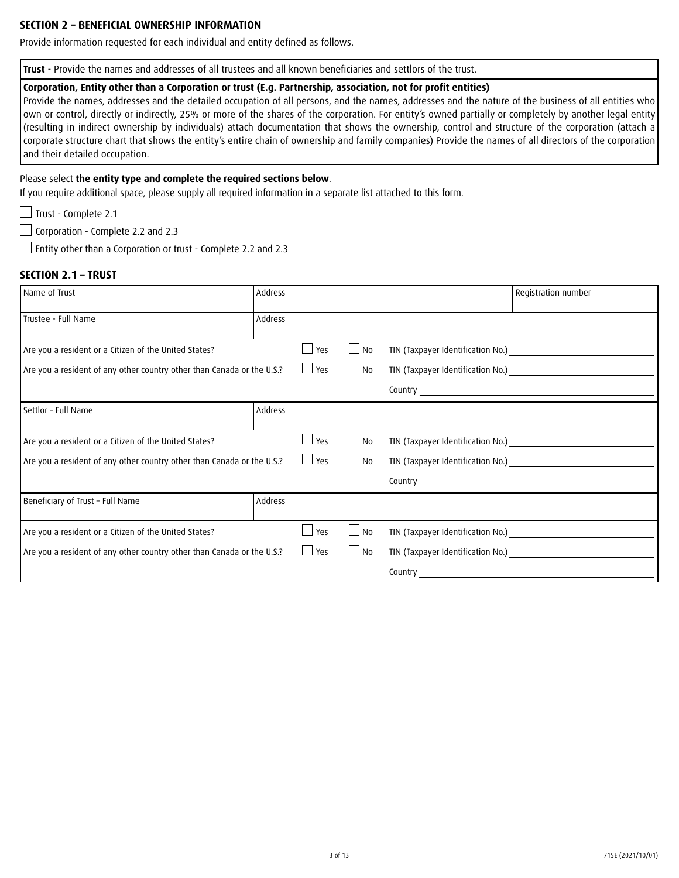#### **SECTION 2 – BENEFICIAL OWNERSHIP INFORMATION**

Provide information requested for each individual and entity defined as follows.

**Trust** - Provide the names and addresses of all trustees and all known beneficiaries and settlors of the trust.

#### **Corporation, Entity other than a Corporation or trust (E.g. Partnership, association, not for profit entities)**

Provide the names, addresses and the detailed occupation of all persons, and the names, addresses and the nature of the business of all entities who own or control, directly or indirectly, 25% or more of the shares of the corporation. For entity's owned partially or completely by another legal entity (resulting in indirect ownership by individuals) attach documentation that shows the ownership, control and structure of the corporation (attach a corporate structure chart that shows the entity's entire chain of ownership and family companies) Provide the names of all directors of the corporation and their detailed occupation.

#### Please select **the entity type and complete the required sections below**.

If you require additional space, please supply all required information in a separate list attached to this form.

Trust - Complete 2.1

 $\Box$  Corporation - Complete 2.2 and 2.3

Entity other than a Corporation or trust - Complete 2.2 and 2.3

#### **SECTION 2.1 – TRUST**

| Name of Trust                                                          | Address |            |           | Registration number               |
|------------------------------------------------------------------------|---------|------------|-----------|-----------------------------------|
| Trustee - Full Name                                                    | Address |            |           |                                   |
| Are you a resident or a Citizen of the United States?                  |         | Yes        | $\Box$ No | TIN (Taxpayer Identification No.) |
| Are you a resident of any other country other than Canada or the U.S.? |         | $\Box$ Yes | $\Box$ No |                                   |
|                                                                        |         |            |           |                                   |
| Settlor - Full Name                                                    | Address |            |           |                                   |
| Are you a resident or a Citizen of the United States?                  |         | Yes        | $\Box$ No |                                   |
| Are you a resident of any other country other than Canada or the U.S.? |         | $\Box$ Yes | $\Box$ No |                                   |
|                                                                        |         |            |           |                                   |
| Beneficiary of Trust - Full Name                                       | Address |            |           |                                   |
| Are you a resident or a Citizen of the United States?                  |         | Yes        | $\Box$ No | TIN (Taxpayer Identification No.) |
| Are you a resident of any other country other than Canada or the U.S.? |         | $\Box$ Yes | $\Box$ No |                                   |
|                                                                        |         |            |           |                                   |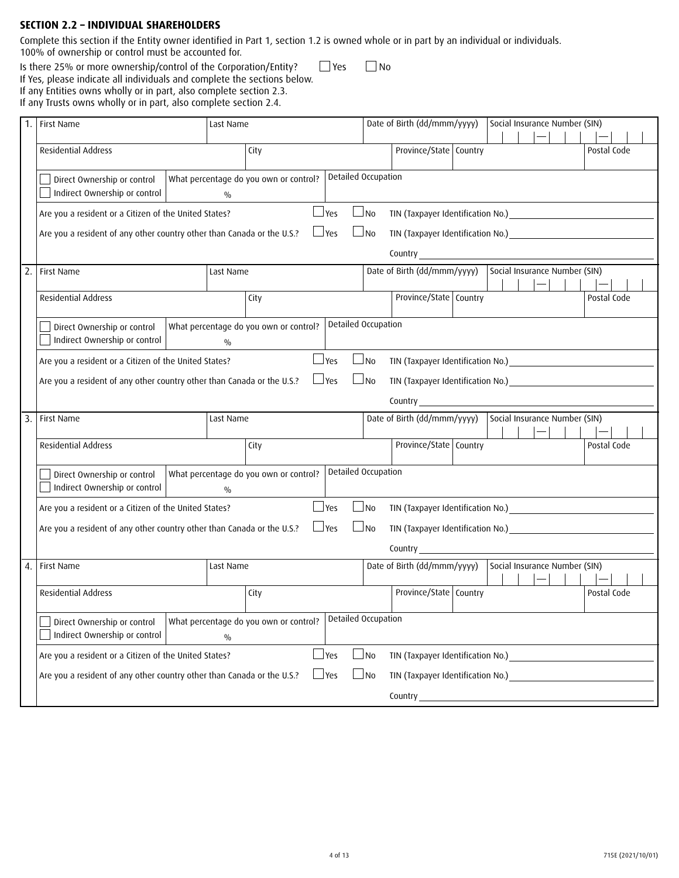### **SECTION 2.2 – INDIVIDUAL SHAREHOLDERS**

Complete this section if the Entity owner identified in Part 1, section 1.2 is owned whole or in part by an individual or individuals. 100% of ownership or control must be accounted for.

Is there 25% or more ownership/control of the Corporation/Entity?  $\Box$  Yes  $\Box$  No

If Yes, please indicate all individuals and complete the sections below. If any Entities owns wholly or in part, also complete section 2.3.

If any Trusts owns wholly or in part, also complete section 2.4.

|     | First Name                                                             | Last Name                              | Date of Birth (dd/mmm/yyyy)<br>Social Insurance Number (SIN)                                                                                                                                                                                |  |  |  |  |
|-----|------------------------------------------------------------------------|----------------------------------------|---------------------------------------------------------------------------------------------------------------------------------------------------------------------------------------------------------------------------------------------|--|--|--|--|
|     | Residential Address                                                    | City                                   | Province/State Country<br>Postal Code                                                                                                                                                                                                       |  |  |  |  |
|     | Direct Ownership or control                                            | What percentage do you own or control? | Detailed Occupation                                                                                                                                                                                                                         |  |  |  |  |
|     | Indirect Ownership or control                                          | $\frac{0}{0}$                          |                                                                                                                                                                                                                                             |  |  |  |  |
|     | Are you a resident or a Citizen of the United States?                  | $\Box$ Yes                             | $\Box$ No                                                                                                                                                                                                                                   |  |  |  |  |
|     | Are you a resident of any other country other than Canada or the U.S.? | $\Box$ Yes                             | $\Box$ No                                                                                                                                                                                                                                   |  |  |  |  |
|     |                                                                        |                                        |                                                                                                                                                                                                                                             |  |  |  |  |
| 2.1 | First Name                                                             | Last Name                              | Date of Birth (dd/mmm/yyyy)                                                                                                                                                                                                                 |  |  |  |  |
|     | Residential Address                                                    | City                                   | Province/State Country<br>Postal Code                                                                                                                                                                                                       |  |  |  |  |
|     | Direct Ownership or control                                            | What percentage do you own or control? | Detailed Occupation                                                                                                                                                                                                                         |  |  |  |  |
|     | Indirect Ownership or control                                          | $\frac{0}{0}$                          |                                                                                                                                                                                                                                             |  |  |  |  |
|     | Are you a resident or a Citizen of the United States?                  | $\Box$ Yes                             | $\Box$ No                                                                                                                                                                                                                                   |  |  |  |  |
|     | Are you a resident of any other country other than Canada or the U.S.? | $\Box$ Yes                             | $\Box$ No                                                                                                                                                                                                                                   |  |  |  |  |
|     |                                                                        |                                        |                                                                                                                                                                                                                                             |  |  |  |  |
| 3.1 | <b>First Name</b>                                                      | Last Name                              | Social Insurance Number (SIN)<br>Date of Birth (dd/mmm/yyyy)                                                                                                                                                                                |  |  |  |  |
|     | <b>Residential Address</b>                                             | City                                   | Province/State   Country<br>Postal Code                                                                                                                                                                                                     |  |  |  |  |
|     | Direct Ownership or control                                            | What percentage do you own or control? | Detailed Occupation                                                                                                                                                                                                                         |  |  |  |  |
|     | Indirect Ownership or control                                          | $\frac{0}{0}$                          |                                                                                                                                                                                                                                             |  |  |  |  |
|     | Are you a resident or a Citizen of the United States?                  | $\Box$ Yes                             | $\Box$ No<br>TIN (Taxpayer Identification No.) Manuscript Annual Manuscript Annual Manuscript Annual Manuscript Annual Manuscript Annual Manuscript Annual Manuscript Annual Manuscript Annual Manuscript Annual Manuscript Annual Manuscri |  |  |  |  |
|     | Are you a resident of any other country other than Canada or the U.S.? | $\Box$ Yes                             | $\Box$ No                                                                                                                                                                                                                                   |  |  |  |  |
|     |                                                                        |                                        |                                                                                                                                                                                                                                             |  |  |  |  |
| 4.1 | <b>First Name</b>                                                      | Last Name                              | Social Insurance Number (SIN)<br>Date of Birth (dd/mmm/yyyy)                                                                                                                                                                                |  |  |  |  |
|     | Residential Address                                                    | City                                   | Province/State   Country<br>Postal Code                                                                                                                                                                                                     |  |  |  |  |
|     | Direct Ownership or control                                            | What percentage do you own or control? | Detailed Occupation                                                                                                                                                                                                                         |  |  |  |  |
|     | Indirect Ownership or control                                          | $\frac{0}{0}$                          |                                                                                                                                                                                                                                             |  |  |  |  |
|     | Are you a resident or a Citizen of the United States?                  | $\Box$ Yes                             | $\Box$ No<br>TIN (Taxpayer Identification No.)<br><u> 1980 - Andrea Station Barbara, amerikan personal (</u>                                                                                                                                |  |  |  |  |
|     | Are you a resident of any other country other than Canada or the U.S.? | $\Box$ Yes                             | $\Box$ No<br>TIN (Taxpayer Identification No.)                                                                                                                                                                                              |  |  |  |  |
|     |                                                                        |                                        | Country____                                                                                                                                                                                                                                 |  |  |  |  |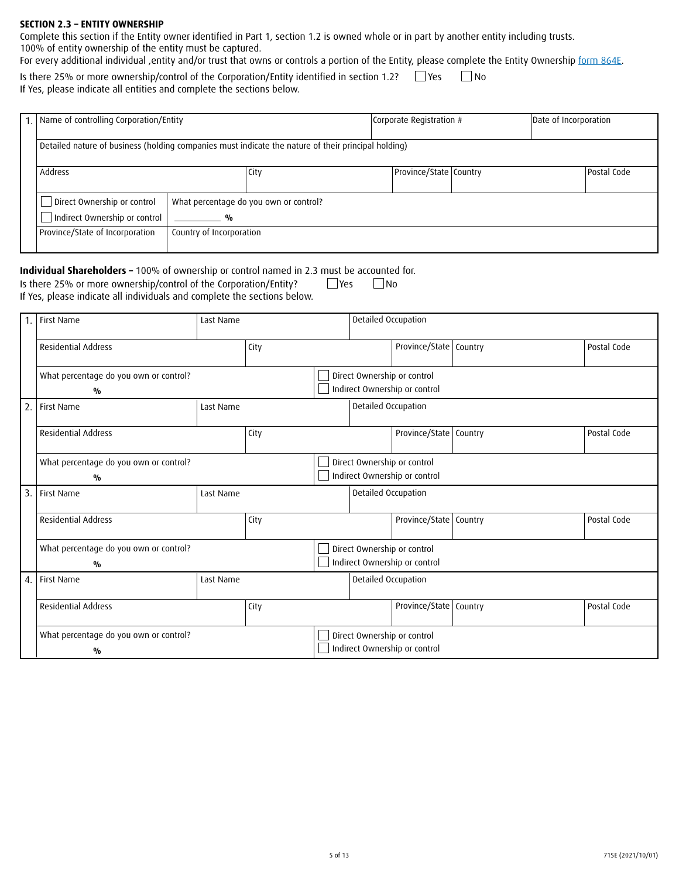#### **SECTION 2.3 – ENTITY OWNERSHIP**

Complete this section if the Entity owner identified in Part 1, section 1.2 is owned whole or in part by another entity including trusts. 100% of entity ownership of the entity must be captured.

For every additional individual ,entity and/or trust that owns or controls a portion of the Entity, please complete the Entity Ownership form 864E.

If Yes, please indicate all entities and complete the sections below. Is there 25% or more ownership/control of the Corporation/Entity identified in section 1.2?  $\Box$  Yes  $\Box$  No

| 1. Name of controlling Corporation/Entity<br>Corporate Registration #                                                                                                                  | Date of Incorporation |  |
|----------------------------------------------------------------------------------------------------------------------------------------------------------------------------------------|-----------------------|--|
|                                                                                                                                                                                        |                       |  |
|                                                                                                                                                                                        |                       |  |
| Detailed nature of business (holding companies must indicate the nature of their principal holding)                                                                                    |                       |  |
|                                                                                                                                                                                        |                       |  |
|                                                                                                                                                                                        |                       |  |
| Province/State   Country<br>Postal Code<br>City                                                                                                                                        |                       |  |
|                                                                                                                                                                                        |                       |  |
|                                                                                                                                                                                        |                       |  |
|                                                                                                                                                                                        |                       |  |
|                                                                                                                                                                                        |                       |  |
|                                                                                                                                                                                        |                       |  |
|                                                                                                                                                                                        |                       |  |
|                                                                                                                                                                                        |                       |  |
|                                                                                                                                                                                        |                       |  |
|                                                                                                                                                                                        |                       |  |
| Direct Ownership or control<br>What percentage do you own or control?<br>Indirect Ownership or control<br>$\frac{0}{0}$<br>Province/State of Incorporation<br>Country of Incorporation |                       |  |

#### **Individual Shareholders –** 100% of ownership or control named in 2.3 must be accounted for. Is there 25% or more ownership/control of the Corporation/Entity?  $\Box$  Yes  $\Box$  No

If Yes, please indicate all individuals and complete the sections below.

|    | 1. First Name                                           | Last Name                   |      |  |                                                              | Detailed Occupation                                          |  |             |  |  |
|----|---------------------------------------------------------|-----------------------------|------|--|--------------------------------------------------------------|--------------------------------------------------------------|--|-------------|--|--|
|    | <b>Residential Address</b>                              |                             | City |  |                                                              | Province/State   Country                                     |  | Postal Code |  |  |
|    | What percentage do you own or control?<br>$\frac{0}{0}$ |                             |      |  | Direct Ownership or control<br>Indirect Ownership or control |                                                              |  |             |  |  |
| 2. | First Name                                              | Last Name                   |      |  | Detailed Occupation                                          |                                                              |  |             |  |  |
|    | <b>Residential Address</b>                              |                             | City |  |                                                              | Province/State   Country                                     |  | Postal Code |  |  |
|    | What percentage do you own or control?<br>$\frac{0}{0}$ |                             |      |  |                                                              | Direct Ownership or control<br>Indirect Ownership or control |  |             |  |  |
| 3. | First Name                                              | Last Name                   |      |  | Detailed Occupation                                          |                                                              |  |             |  |  |
|    | <b>Residential Address</b>                              |                             | City |  |                                                              | Province/State   Country                                     |  | Postal Code |  |  |
|    | What percentage do you own or control?<br>$\frac{0}{0}$ | Direct Ownership or control |      |  |                                                              | Indirect Ownership or control                                |  |             |  |  |
|    | 4. First Name                                           | Last Name                   |      |  | Detailed Occupation                                          |                                                              |  |             |  |  |
|    | <b>Residential Address</b>                              |                             | City |  |                                                              | Province/State   Country                                     |  | Postal Code |  |  |
|    | What percentage do you own or control?<br>$\frac{0}{0}$ |                             |      |  |                                                              | Direct Ownership or control<br>Indirect Ownership or control |  |             |  |  |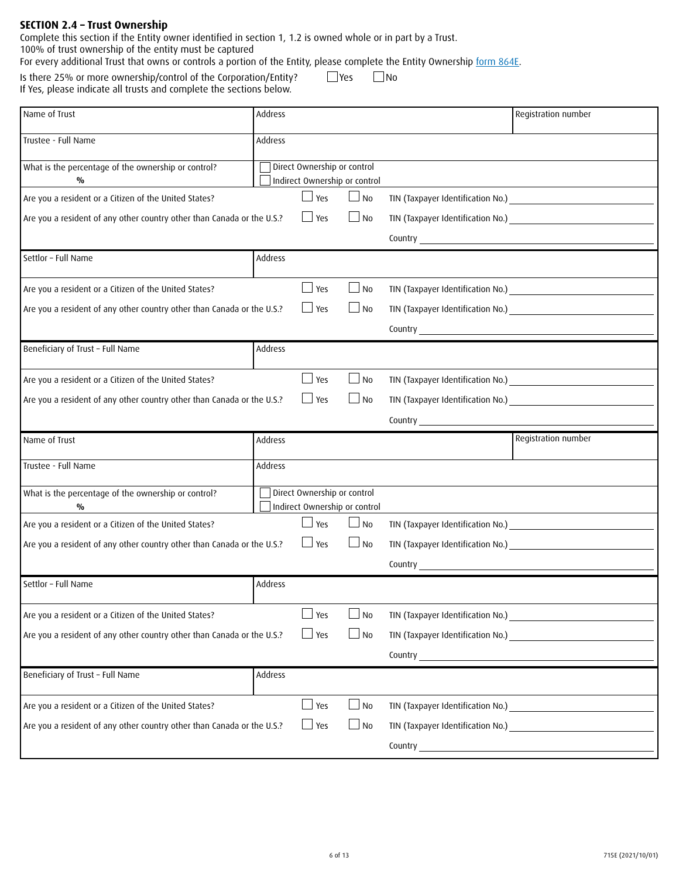#### **SECTION 2.4 – Trust Ownership**

Complete this section if the Entity owner identified in section 1, 1.2 is owned whole or in part by a Trust.

100% of trust ownership of the entity must be captured

For every additional Trust that owns or controls a portion of the Entity, please complete the Entity Ownership <u>form 864E</u>.

If Yes, please indicate all trusts and complete the sections below. Is there 25% or more ownership/control of the Corporation/Entity?  $\Box$  Yes  $\Box$  No

| Name of Trust                                                          | Address |                               |           |                          | Registration number                                                                                                                                                                                                                 |
|------------------------------------------------------------------------|---------|-------------------------------|-----------|--------------------------|-------------------------------------------------------------------------------------------------------------------------------------------------------------------------------------------------------------------------------------|
| Trustee - Full Name                                                    | Address |                               |           |                          |                                                                                                                                                                                                                                     |
| What is the percentage of the ownership or control?                    |         | Direct Ownership or control   |           |                          |                                                                                                                                                                                                                                     |
| %                                                                      |         | Indirect Ownership or control |           |                          |                                                                                                                                                                                                                                     |
| Are you a resident or a Citizen of the United States?                  |         | $\Box$ Yes                    | $\Box$ No |                          |                                                                                                                                                                                                                                     |
| Are you a resident of any other country other than Canada or the U.S.? |         | $\Box$ Yes                    | $\Box$ No |                          |                                                                                                                                                                                                                                     |
|                                                                        |         |                               |           |                          | Country <u>experience</u> and the control of the control of the control of the control of the control of the control of the control of the control of the control of the control of the control of the control of the control of th |
| Settlor - Full Name                                                    | Address |                               |           |                          |                                                                                                                                                                                                                                     |
| Are you a resident or a Citizen of the United States?                  |         | $\Box$ Yes                    | $\Box$ No |                          | TIN (Taxpayer Identification No.)                                                                                                                                                                                                   |
| Are you a resident of any other country other than Canada or the U.S.? |         | $\Box$ Yes                    | $\Box$ No |                          | TIN (Taxpayer Identification No.) CONTEXT AND THE CONTEXT OF THE CONTEXT OF THE CONTEXT OF THE CONTEXT OF THE CONTEXT OF THE CONTEXT OF THE CONTEXT OF THE CONTEXT OF THE CONTEXT OF THE CONTEXT OF THE CONTEXT OF THE CONTEXT      |
|                                                                        |         |                               |           |                          |                                                                                                                                                                                                                                     |
| Beneficiary of Trust - Full Name                                       | Address |                               |           |                          |                                                                                                                                                                                                                                     |
| Are you a resident or a Citizen of the United States?                  |         | $\Box$ Yes                    | $\Box$ No |                          | TIN (Taxpayer Identification No.) CONTENTS AND THE RESERVE TO A REPORT OF THE RESERVE TO A REPORT OF THE RESERVE TO A REPORT OF THE RESERVE TO A REPORT OF THE REPORT OF THE REPORT OF THE REPORT OF THE REPORT OF THE REPORT       |
| Are you a resident of any other country other than Canada or the U.S.? |         | $\Box$ Yes                    | $\Box$ No |                          |                                                                                                                                                                                                                                     |
|                                                                        |         |                               |           | Country <b>countries</b> |                                                                                                                                                                                                                                     |
|                                                                        |         |                               |           |                          |                                                                                                                                                                                                                                     |
| Name of Trust                                                          | Address |                               |           |                          | Registration number                                                                                                                                                                                                                 |
| Trustee - Full Name                                                    | Address |                               |           |                          |                                                                                                                                                                                                                                     |
|                                                                        |         | Direct Ownership or control   |           |                          |                                                                                                                                                                                                                                     |
| What is the percentage of the ownership or control?<br>$\frac{0}{0}$   |         | Indirect Ownership or control |           |                          |                                                                                                                                                                                                                                     |
| Are you a resident or a Citizen of the United States?                  |         | $\Box$ Yes                    | $\Box$ No |                          | TIN (Taxpayer Identification No.) [18] TIN (Taxpayer Identification No.)                                                                                                                                                            |
| Are you a resident of any other country other than Canada or the U.S.? |         | $\Box$ Yes                    | $\Box$ No |                          |                                                                                                                                                                                                                                     |
|                                                                        |         |                               |           |                          |                                                                                                                                                                                                                                     |
| Settlor - Full Name                                                    | Address |                               |           |                          |                                                                                                                                                                                                                                     |
| Are you a resident or a Citizen of the United States?                  |         | $\Box$ Yes                    | $\Box$ No |                          | TIN (Taxpayer Identification No.)                                                                                                                                                                                                   |
| Are you a resident of any other country other than Canada or the U.S.? |         | $\Box$ Yes                    | $\Box$ No |                          |                                                                                                                                                                                                                                     |
|                                                                        |         |                               |           |                          |                                                                                                                                                                                                                                     |
| Beneficiary of Trust - Full Name                                       | Address |                               |           |                          |                                                                                                                                                                                                                                     |
| Are you a resident or a Citizen of the United States?                  |         | $\Box$ Yes                    | $\Box$ No |                          | TIN (Taxpayer Identification No.) Manual Manual According to the Manual According to the Manual According to the Manual According to the Manual According to the Manual According to the Manual According to the Manual Accord      |
| Are you a resident of any other country other than Canada or the U.S.? |         | $\Box$ Yes                    | $\Box$ No |                          | TIN (Taxpayer Identification No.) Manufacturers and the control of the control of the control of the control of                                                                                                                     |
|                                                                        |         |                               |           |                          | Country League and Country League and Country League and Country League and Country League and Country League                                                                                                                       |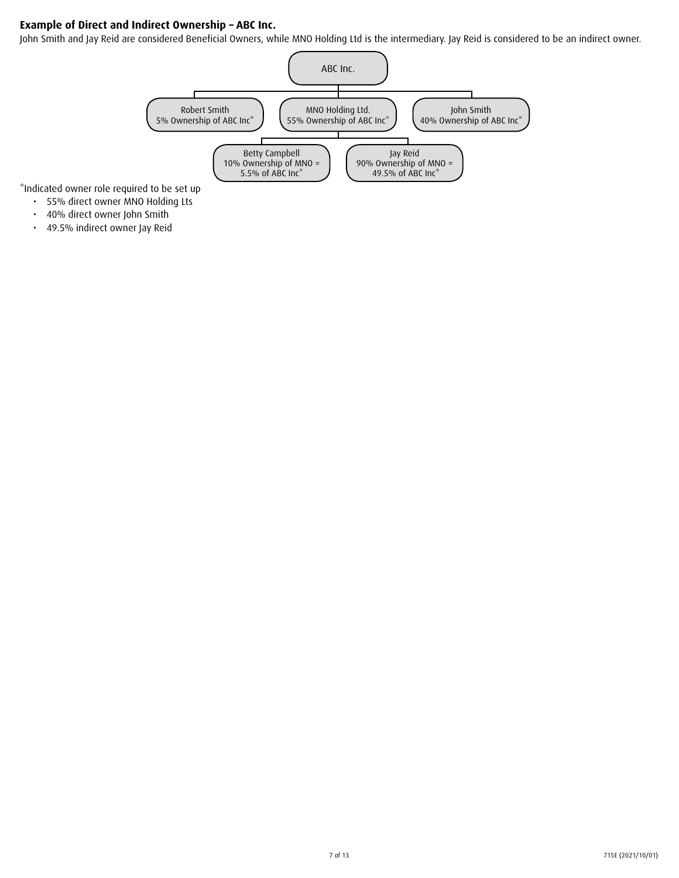# **Example of Direct and Indirect Ownership – ABC Inc.**

John Smith and Jay Reid are considered Beneficial Owners, while MNO Holding Ltd is the intermediary. Jay Reid is considered to be an indirect owner.



\*Indicated owner role required to be set up

- • 55% direct owner MNO Holding Lts
- • 40% direct owner John Smith
- • 49.5% indirect owner Jay Reid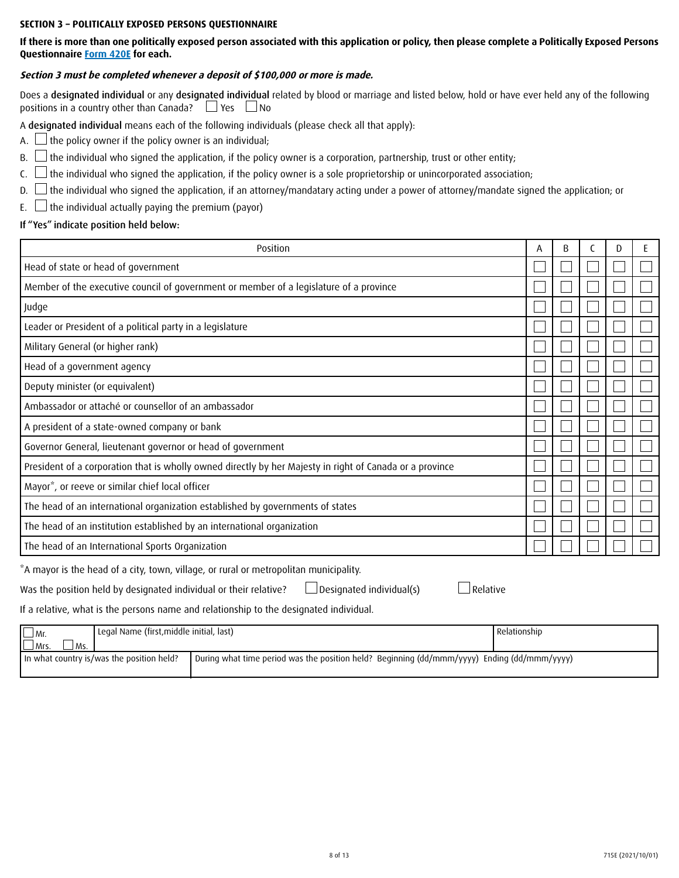#### **SECTION 3 – POLITICALLY EXPOSED PERSONS QUESTIONNAIRE**

**If there is more than one politically exposed person associated with this application or policy, then please complete a Politically Exposed Persons Questionnaire Form 420E for each.**

#### **Section 3 must be completed whenever a deposit of \$100,000 or more is made.**

Does a designated individual or any designated individual related by blood or marriage and listed below, hold or have ever held any of the following positions in a country other than Canada?  $\Box$  Yes  $\Box$ No

A designated individual means each of the following individuals (please check all that apply):

A.  $\Box$  the policy owner if the policy owner is an individual;

- $B.$  If the individual who signed the application, if the policy owner is a corporation, partnership, trust or other entity;
- $\mathsf{C}$ .  $\Box$  the individual who signed the application, if the policy owner is a sole proprietorship or unincorporated association;
- D.  $\Box$  the individual who signed the application, if an attorney/mandatary acting under a power of attorney/mandate signed the application; or
- E.  $\Box$  the individual actually paying the premium (payor)

### If "Yes" indicate position held below:

| Position                                                                                                 | A | B |  |  |
|----------------------------------------------------------------------------------------------------------|---|---|--|--|
| Head of state or head of government                                                                      |   |   |  |  |
| Member of the executive council of government or member of a legislature of a province                   |   |   |  |  |
| Judge                                                                                                    |   |   |  |  |
| Leader or President of a political party in a legislature                                                |   |   |  |  |
| Military General (or higher rank)                                                                        |   |   |  |  |
| Head of a government agency                                                                              |   |   |  |  |
| Deputy minister (or equivalent)                                                                          |   |   |  |  |
| Ambassador or attaché or counsellor of an ambassador                                                     |   |   |  |  |
| A president of a state-owned company or bank                                                             |   |   |  |  |
| Governor General, lieutenant governor or head of government                                              |   |   |  |  |
| President of a corporation that is wholly owned directly by her Majesty in right of Canada or a province |   |   |  |  |
| Mayor <sup>*</sup> , or reeve or similar chief local officer                                             |   |   |  |  |
| The head of an international organization established by governments of states                           |   |   |  |  |
| The head of an institution established by an international organization                                  |   |   |  |  |
| The head of an International Sports Organization                                                         |   |   |  |  |

\*A mayor is the head of a city, town, village, or rural or metropolitan municipality.

Was the position held by designated individual or their relative?  $\square$  Designated individual(s)  $\square$  Relative

If a relative, what is the persons name and relationship to the designated individual.

| Legal Name (first, middle initial, last)<br>$\Box$ Mr. |                                                                                               | I Relationship |
|--------------------------------------------------------|-----------------------------------------------------------------------------------------------|----------------|
| $L$ Mrs.<br><sup>I</sup> Ms.                           |                                                                                               |                |
| In what country is/was the position held?              | ' During what time period was the position held? Beginning (dd/mmm/yyyy) Ending (dd/mmm/yyyy) |                |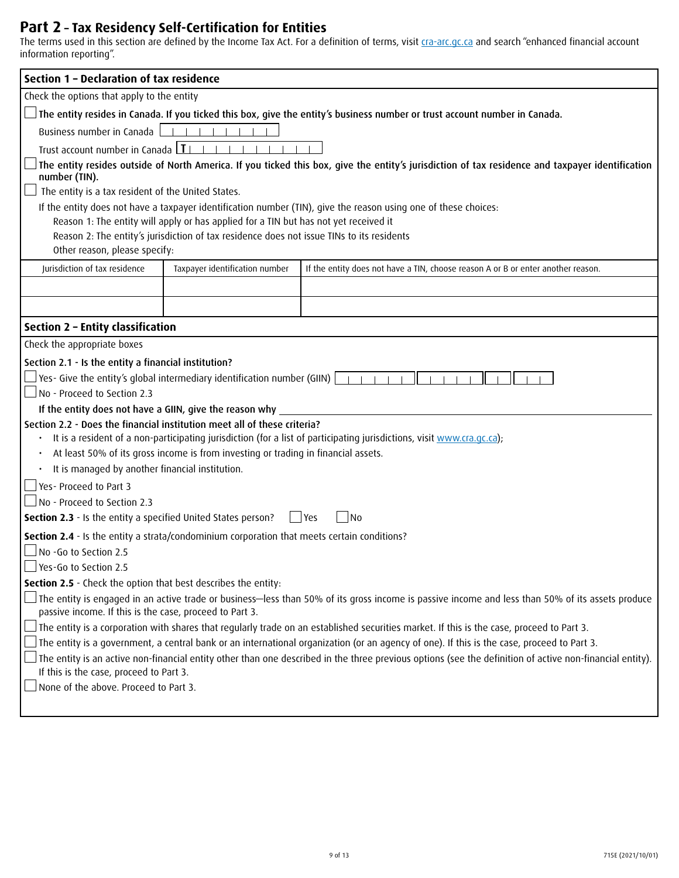# **Part 2 – Tax Residency Self-Certification for Entities**

The terms used in this section are defined by the Income Tax Act. For a definition of terms, visit <u>[cra-arc.gc.ca](http://cra-arc.gc.ca)</u> and search "enhanced financial account information reporting".

| Section 1 - Declaration of tax residence                                                                                            |                                                                                           |                                                                                                                                                          |  |  |  |  |  |  |
|-------------------------------------------------------------------------------------------------------------------------------------|-------------------------------------------------------------------------------------------|----------------------------------------------------------------------------------------------------------------------------------------------------------|--|--|--|--|--|--|
| Check the options that apply to the entity                                                                                          |                                                                                           |                                                                                                                                                          |  |  |  |  |  |  |
|                                                                                                                                     |                                                                                           | $\rfloor$ The entity resides in Canada. If you ticked this box, give the entity's business number or trust account number in Canada.                     |  |  |  |  |  |  |
| Business number in Canada                                                                                                           |                                                                                           |                                                                                                                                                          |  |  |  |  |  |  |
| Trust account number in Canada   1                                                                                                  |                                                                                           |                                                                                                                                                          |  |  |  |  |  |  |
|                                                                                                                                     |                                                                                           | The entity resides outside of North America. If you ticked this box, give the entity's jurisdiction of tax residence and taxpayer identification         |  |  |  |  |  |  |
| number (TIN).                                                                                                                       |                                                                                           |                                                                                                                                                          |  |  |  |  |  |  |
| The entity is a tax resident of the United States.                                                                                  |                                                                                           |                                                                                                                                                          |  |  |  |  |  |  |
|                                                                                                                                     | Reason 1: The entity will apply or has applied for a TIN but has not yet received it      | If the entity does not have a taxpayer identification number (TIN), give the reason using one of these choices:                                          |  |  |  |  |  |  |
|                                                                                                                                     | Reason 2: The entity's jurisdiction of tax residence does not issue TINs to its residents |                                                                                                                                                          |  |  |  |  |  |  |
| Other reason, please specify:                                                                                                       |                                                                                           |                                                                                                                                                          |  |  |  |  |  |  |
| Jurisdiction of tax residence                                                                                                       | Taxpayer identification number                                                            | If the entity does not have a TIN, choose reason A or B or enter another reason.                                                                         |  |  |  |  |  |  |
|                                                                                                                                     |                                                                                           |                                                                                                                                                          |  |  |  |  |  |  |
|                                                                                                                                     |                                                                                           |                                                                                                                                                          |  |  |  |  |  |  |
|                                                                                                                                     |                                                                                           |                                                                                                                                                          |  |  |  |  |  |  |
| Section 2 - Entity classification                                                                                                   |                                                                                           |                                                                                                                                                          |  |  |  |  |  |  |
| Check the appropriate boxes                                                                                                         |                                                                                           |                                                                                                                                                          |  |  |  |  |  |  |
| Section 2.1 - Is the entity a financial institution?                                                                                |                                                                                           |                                                                                                                                                          |  |  |  |  |  |  |
|                                                                                                                                     | $\Box$ Yes- Give the entity's global intermediary identification number (GIIN) $\Box$     |                                                                                                                                                          |  |  |  |  |  |  |
| No - Proceed to Section 2.3                                                                                                         |                                                                                           |                                                                                                                                                          |  |  |  |  |  |  |
| If the entity does not have a GIIN, give the reason why<br>Section 2.2 - Does the financial institution meet all of these criteria? |                                                                                           |                                                                                                                                                          |  |  |  |  |  |  |
|                                                                                                                                     |                                                                                           | It is a resident of a non-participating jurisdiction (for a list of participating jurisdictions, visit www.cra.gc.ca);                                   |  |  |  |  |  |  |
|                                                                                                                                     | At least 50% of its gross income is from investing or trading in financial assets.        |                                                                                                                                                          |  |  |  |  |  |  |
| It is managed by another financial institution.                                                                                     |                                                                                           |                                                                                                                                                          |  |  |  |  |  |  |
| Yes-Proceed to Part 3                                                                                                               |                                                                                           |                                                                                                                                                          |  |  |  |  |  |  |
| $\Box$ No - Proceed to Section 2.3                                                                                                  |                                                                                           |                                                                                                                                                          |  |  |  |  |  |  |
| Section 2.3 - Is the entity a specified United States person?                                                                       |                                                                                           | $ $ Yes<br>N <sub>0</sub>                                                                                                                                |  |  |  |  |  |  |
| Section 2.4 - Is the entity a strata/condominium corporation that meets certain conditions?                                         |                                                                                           |                                                                                                                                                          |  |  |  |  |  |  |
| No -Go to Section 2.5                                                                                                               |                                                                                           |                                                                                                                                                          |  |  |  |  |  |  |
| ⊻Yes-Go to Section 2.5                                                                                                              |                                                                                           |                                                                                                                                                          |  |  |  |  |  |  |
| <b>Section 2.5</b> - Check the option that best describes the entity:                                                               |                                                                                           |                                                                                                                                                          |  |  |  |  |  |  |
|                                                                                                                                     |                                                                                           |                                                                                                                                                          |  |  |  |  |  |  |
| passive income. If this is the case, proceed to Part 3.                                                                             |                                                                                           |                                                                                                                                                          |  |  |  |  |  |  |
|                                                                                                                                     |                                                                                           | The entity is a corporation with shares that regularly trade on an established securities market. If this is the case, proceed to Part 3.                |  |  |  |  |  |  |
|                                                                                                                                     |                                                                                           | The entity is a government, a central bank or an international organization (or an agency of one). If this is the case, proceed to Part 3.               |  |  |  |  |  |  |
| If this is the case, proceed to Part 3.                                                                                             |                                                                                           | The entity is an active non-financial entity other than one described in the three previous options (see the definition of active non-financial entity). |  |  |  |  |  |  |
| None of the above. Proceed to Part 3.                                                                                               |                                                                                           |                                                                                                                                                          |  |  |  |  |  |  |
|                                                                                                                                     |                                                                                           |                                                                                                                                                          |  |  |  |  |  |  |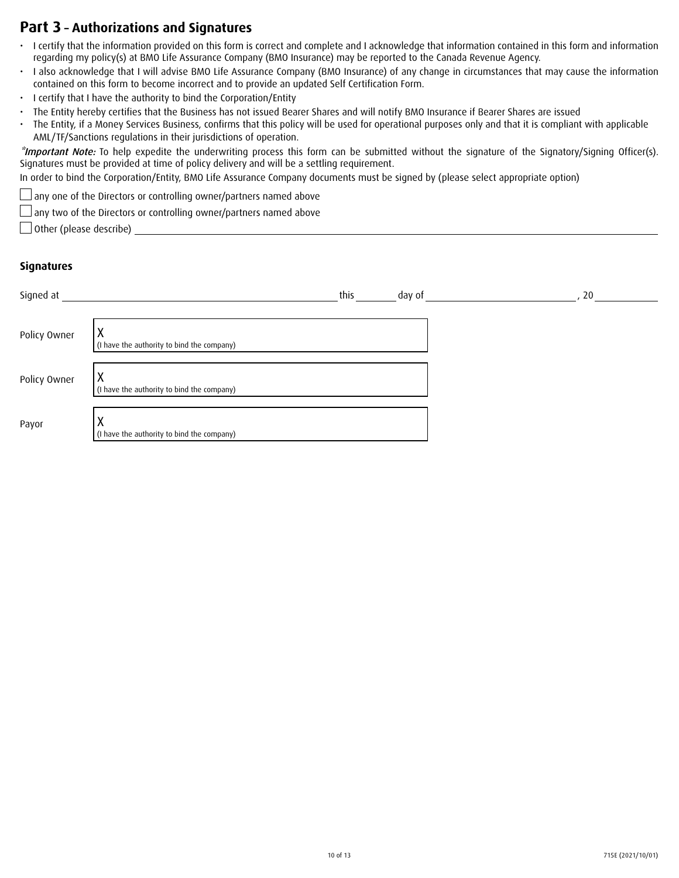# **Part 3 – Authorizations and Signatures**

- • I certify that the information provided on this form is correct and complete and I acknowledge that information contained in this form and information regarding my policy(s) at BMO Life Assurance Company (BMO Insurance) may be reported to the Canada Revenue Agency.
- I also acknowledge that I will advise BMO Life Assurance Company (BMO Insurance) of any change in circumstances that may cause the information contained on this form to become incorrect and to provide an updated Self Certification Form.
- I certify that I have the authority to bind the Corporation/Entity
- The Entity hereby certifies that the Business has not issued Bearer Shares and will notify BMO Insurance if Bearer Shares are issued
- • The Entity, if a Money Services Business, confirms that this policy will be used for operational purposes only and that it is compliant with applicable AML/TF/Sanctions regulations in their jurisdictions of operation.

\*Important Note: To help expedite the underwriting process this form can be submitted without the signature of the Signatory/Signing Officer(s). Signatures must be provided at time of policy delivery and will be a settling requirement.

In order to bind the Corporation/Entity, BMO Life Assurance Company documents must be signed by (please select appropriate option)

any one of the Directors or controlling owner/partners named above

any two of the Directors or controlling owner/partners named above

 $\Box$  Other (please describe)  $\Box$ 

#### **Signatures**

| Signed at    |                                            | this | day of | 20 |
|--------------|--------------------------------------------|------|--------|----|
| Policy Owner | (I have the authority to bind the company) |      |        |    |
| Policy Owner | (I have the authority to bind the company) |      |        |    |
| Payor        | (I have the authority to bind the company) |      |        |    |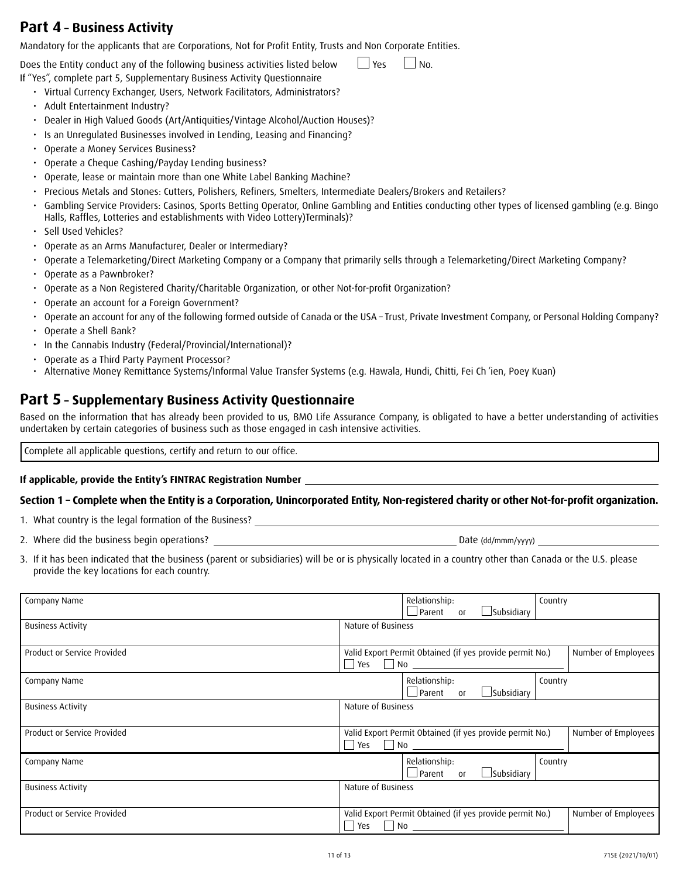# **Part 4 – Business Activity**

Mandatory for the applicants that are Corporations, Not for Profit Entity, Trusts and Non Corporate Entities.

Does the Entity conduct any of the following business activities listed below  $\Box$  Yes  $\Box$  No.

If "Yes", complete part 5, Supplementary Business Activity Questionnaire

- Virtual Currency Exchanger, Users, Network Facilitators, Administrators?
- • Adult Entertainment Industry?
- Dealer in High Valued Goods (Art/Antiquities/Vintage Alcohol/Auction Houses)?
- Is an Unregulated Businesses involved in Lending, Leasing and Financing?
- • Operate a Money Services Business?
- Operate a Cheque Cashing/Payday Lending business?
- Operate, lease or maintain more than one White Label Banking Machine?
- • Precious Metals and Stones: Cutters, Polishers, Refiners, Smelters, Intermediate Dealers/Brokers and Retailers?
- Gambling Service Providers: Casinos, Sports Betting Operator, Online Gambling and Entities conducting other types of licensed gambling (e.g. Bingo Halls, Raffles, Lotteries and establishments with Video Lottery)Terminals)?
- Sell Used Vehicles?
- Operate as an Arms Manufacturer, Dealer or Intermediary?
- • Operate a Telemarketing/Direct Marketing Company or a Company that primarily sells through a Telemarketing/Direct Marketing Company?
- • Operate as a Pawnbroker?
- • Operate as a Non Registered Charity/Charitable Organization, or other Not-for-profit Organization?
- • Operate an account for a Foreign Government?
- Operate an account for any of the following formed outside of Canada or the USA Trust, Private Investment Company, or Personal Holding Company?
- • Operate a Shell Bank?
- In the Cannabis Industry (Federal/Provincial/International)?
- • Operate as a Third Party Payment Processor?
- • Alternative Money Remittance Systems/Informal Value Transfer Systems (e.g. Hawala, Hundi, Chitti, Fei Ch 'ien, Poey Kuan)

# **Part 5 – Supplementary Business Activity Questionnaire**

Based on the information that has already been provided to us, BMO Life Assurance Company, is obligated to have a better understanding of activities undertaken by certain categories of business such as those engaged in cash intensive activities.

Complete all applicable questions, certify and return to our office.

#### **If applicable, provide the Entity's FINTRAC Registration Number**

### **Section 1 – Complete when the Entity is a Corporation, Unincorporated Entity, Non-registered charity or other Not-for-profit organization.**

1. What country is the legal formation of the Business?

2. Where did the business begin operations?  $\blacksquare$ 

3. If it has been indicated that the business (parent or subsidiaries) will be or is physically located in a country other than Canada or the U.S. please provide the key locations for each country.

| Company Name                |                                                                                                            | Relationship:<br>$\Box$ Parent               | <b>O</b> r     | $\Box$ Subsidiary                                        | Country |                     |
|-----------------------------|------------------------------------------------------------------------------------------------------------|----------------------------------------------|----------------|----------------------------------------------------------|---------|---------------------|
| <b>Business Activity</b>    | Nature of Business                                                                                         |                                              |                |                                                          |         |                     |
| Product or Service Provided | Yes                                                                                                        | $\Box$ No $\_\_$                             |                | Valid Export Permit Obtained (if yes provide permit No.) |         | Number of Employees |
| Company Name                |                                                                                                            | Relationship:<br>$\Box$ Parent               | 0 <sup>1</sup> | $\Box$ Subsidiary                                        | Country |                     |
| <b>Business Activity</b>    | Nature of Business                                                                                         |                                              |                |                                                          |         |                     |
| Product or Service Provided | Valid Export Permit Obtained (if yes provide permit No.)<br>Number of Employees<br>$\Box$ No $\Box$<br>Yes |                                              |                |                                                          |         |                     |
| Company Name                |                                                                                                            | Relationship:<br>$\Box$ Parent               | O <sub>1</sub> | $\Box$ Subsidiary                                        | Country |                     |
| <b>Business Activity</b>    | Nature of Business                                                                                         |                                              |                |                                                          |         |                     |
| Product or Service Provided | Yes                                                                                                        | $\neg$ No $\qquad \qquad$ No $\qquad \qquad$ |                | Valid Export Permit Obtained (if yes provide permit No.) |         | Number of Employees |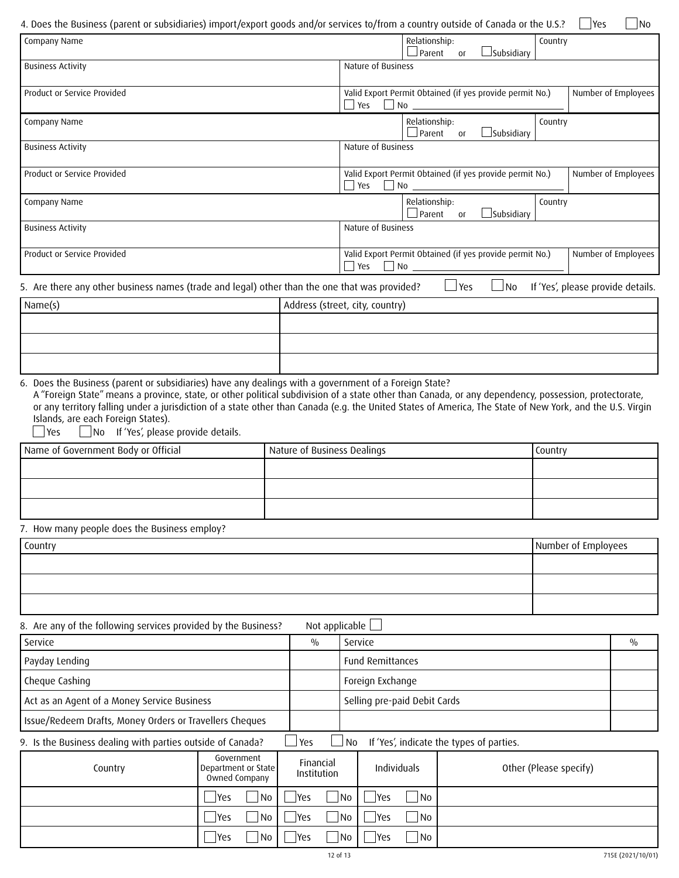| 4. Does the Business (parent or subsidiaries) import/export goods and/or services to/from a country outside of Canada or the U.S.? |                                                    |                                                                                                                    |                                       |                                |                       |                                          |         | <b>Yes</b>                        | No            |
|------------------------------------------------------------------------------------------------------------------------------------|----------------------------------------------------|--------------------------------------------------------------------------------------------------------------------|---------------------------------------|--------------------------------|-----------------------|------------------------------------------|---------|-----------------------------------|---------------|
| Company Name                                                                                                                       |                                                    |                                                                                                                    | Relationship:<br>$\Box$ Parent        | O <sub>1</sub>                 | $\Box$ Subsidiary     | Country                                  |         |                                   |               |
| <b>Business Activity</b>                                                                                                           |                                                    |                                                                                                                    | Nature of Business                    |                                |                       |                                          |         |                                   |               |
| Product or Service Provided                                                                                                        |                                                    | Valid Export Permit Obtained (if yes provide permit No.)<br>Number of Employees<br>Yes<br>$\Box$ No                |                                       |                                |                       |                                          |         |                                   |               |
| Company Name                                                                                                                       |                                                    |                                                                                                                    |                                       | Relationship:<br>$\Box$ Parent | Оſ                    | $\Box$ Subsidiary                        | Country |                                   |               |
| <b>Business Activity</b>                                                                                                           |                                                    |                                                                                                                    | Nature of Business                    |                                |                       |                                          |         |                                   |               |
| Product or Service Provided                                                                                                        |                                                    | Valid Export Permit Obtained (if yes provide permit No.)<br>Number of Employees<br>$\blacksquare$ Yes<br>$\Box$ No |                                       |                                |                       |                                          |         |                                   |               |
| Company Name                                                                                                                       |                                                    |                                                                                                                    |                                       | Relationship:<br>$\Box$ Parent | <b>O</b> <sub>r</sub> | _Subsidiary                              | Country |                                   |               |
| <b>Business Activity</b>                                                                                                           |                                                    |                                                                                                                    | Nature of Business                    |                                |                       |                                          |         |                                   |               |
| Product or Service Provided                                                                                                        |                                                    | Valid Export Permit Obtained (if yes provide permit No.)<br>Number of Employees<br>Yes<br>$\Box$ No                |                                       |                                |                       |                                          |         |                                   |               |
| 5. Are there any other business names (trade and legal) other than the one that was provided?                                      |                                                    |                                                                                                                    |                                       |                                | $\sqcup$ Yes          | No                                       |         | If 'Yes', please provide details. |               |
| Name(s)                                                                                                                            |                                                    |                                                                                                                    | Address (street, city, country)       |                                |                       |                                          |         |                                   |               |
|                                                                                                                                    |                                                    |                                                                                                                    |                                       |                                |                       |                                          |         |                                   |               |
|                                                                                                                                    |                                                    |                                                                                                                    |                                       |                                |                       |                                          |         |                                   |               |
| Islands, are each Foreign States).<br>No If 'Yes', please provide details.<br>Yes<br>Name of Government Body or Official           |                                                    | Nature of Business Dealings                                                                                        |                                       |                                |                       |                                          | Country |                                   |               |
|                                                                                                                                    |                                                    |                                                                                                                    |                                       |                                |                       |                                          |         |                                   |               |
| 7. How many people does the Business employ?                                                                                       |                                                    |                                                                                                                    |                                       |                                |                       |                                          |         |                                   |               |
| Country                                                                                                                            |                                                    |                                                                                                                    |                                       |                                |                       |                                          |         | Number of Employees               |               |
|                                                                                                                                    |                                                    |                                                                                                                    |                                       |                                |                       |                                          |         |                                   |               |
|                                                                                                                                    |                                                    |                                                                                                                    |                                       |                                |                       |                                          |         |                                   |               |
|                                                                                                                                    |                                                    |                                                                                                                    |                                       |                                |                       |                                          |         |                                   |               |
| 8. Are any of the following services provided by the Business?<br>Service                                                          |                                                    | Not applicable<br>$\frac{0}{0}$                                                                                    | Service                               |                                |                       |                                          |         |                                   | $\frac{0}{0}$ |
| Payday Lending                                                                                                                     |                                                    |                                                                                                                    | <b>Fund Remittances</b>               |                                |                       |                                          |         |                                   |               |
| Cheque Cashing                                                                                                                     |                                                    |                                                                                                                    | Foreign Exchange                      |                                |                       |                                          |         |                                   |               |
| Act as an Agent of a Money Service Business                                                                                        |                                                    |                                                                                                                    | Selling pre-paid Debit Cards          |                                |                       |                                          |         |                                   |               |
| Issue/Redeem Drafts, Money Orders or Travellers Cheques                                                                            |                                                    |                                                                                                                    |                                       |                                |                       |                                          |         |                                   |               |
| 9. Is the Business dealing with parties outside of Canada?                                                                         |                                                    | Yes                                                                                                                | No                                    |                                |                       | If 'Yes', indicate the types of parties. |         |                                   |               |
| Country                                                                                                                            | Government<br>Department or State<br>Owned Company | Financial<br>Institution                                                                                           | Individuals<br>Other (Please specify) |                                |                       |                                          |         |                                   |               |
|                                                                                                                                    | No<br> Yes                                         | Yes                                                                                                                | <b>No</b><br> Yes                     | No                             |                       |                                          |         |                                   |               |
|                                                                                                                                    | No<br> Yes                                         | Yes                                                                                                                | <b>No</b><br> Yes                     | N <sub>0</sub>                 |                       |                                          |         |                                   |               |

Yes No

Yes No

Yes No